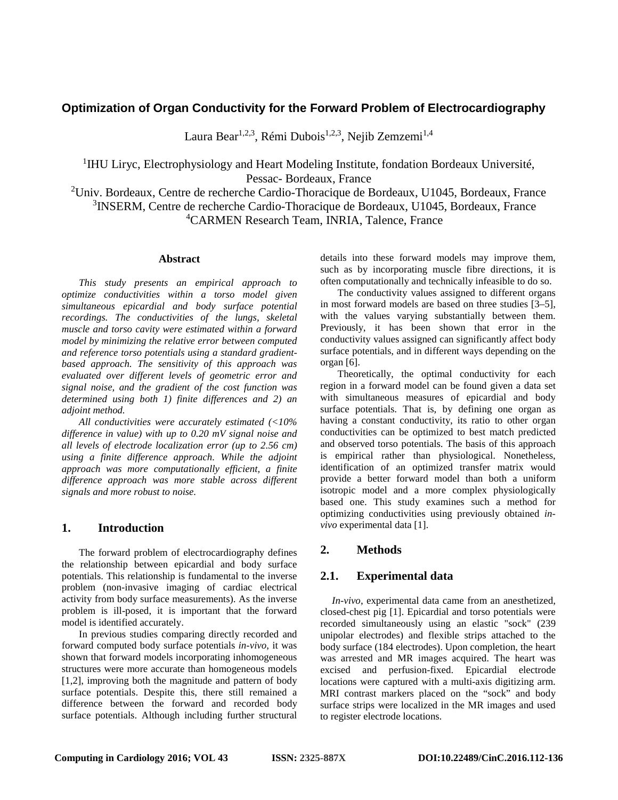# **Optimization of Organ Conductivity for the Forward Problem of Electrocardiography**

Laura Bear<sup>1,2,3</sup>, Rémi Dubois<sup>1,2,3</sup>, Nejib Zemzemi<sup>1,4</sup>

<sup>1</sup>IHU Liryc, Electrophysiology and Heart Modeling Institute, fondation Bordeaux Université, Pessac- Bordeaux, France

<sup>2</sup>Univ. Bordeaux, Centre de recherche Cardio-Thoracique de Bordeaux, U1045, Bordeaux, France 3 INSERM, Centre de recherche Cardio-Thoracique de Bordeaux, U1045, Bordeaux, France 4 CARMEN Research Team, INRIA, Talence, France

#### **Abstract**

*This study presents an empirical approach to optimize conductivities within a torso model given simultaneous epicardial and body surface potential recordings. The conductivities of the lungs, skeletal muscle and torso cavity were estimated within a forward model by minimizing the relative error between computed and reference torso potentials using a standard gradientbased approach. The sensitivity of this approach was evaluated over different levels of geometric error and signal noise, and the gradient of the cost function was determined using both 1) finite differences and 2) an adjoint method.* 

*All conductivities were accurately estimated (<10% difference in value) with up to 0.20 mV signal noise and all levels of electrode localization error (up to 2.56 cm) using a finite difference approach. While the adjoint approach was more computationally efficient, a finite difference approach was more stable across different signals and more robust to noise.* 

### **1. Introduction**

The forward problem of electrocardiography defines the relationship between epicardial and body surface potentials. This relationship is fundamental to the inverse problem (non-invasive imaging of cardiac electrical activity from body surface measurements). As the inverse problem is ill-posed, it is important that the forward model is identified accurately.

In previous studies comparing directly recorded and forward computed body surface potentials *in-vivo*, it was shown that forward models incorporating inhomogeneous structures were more accurate than homogeneous models [1,2], improving both the magnitude and pattern of body surface potentials. Despite this, there still remained a difference between the forward and recorded body surface potentials. Although including further structural

details into these forward models may improve them, such as by incorporating muscle fibre directions, it is often computationally and technically infeasible to do so.

The conductivity values assigned to different organs in most forward models are based on three studies [3–5], with the values varying substantially between them. Previously, it has been shown that error in the conductivity values assigned can significantly affect body surface potentials, and in different ways depending on the organ [6].

Theoretically, the optimal conductivity for each region in a forward model can be found given a data set with simultaneous measures of epicardial and body surface potentials. That is, by defining one organ as having a constant conductivity, its ratio to other organ conductivities can be optimized to best match predicted and observed torso potentials. The basis of this approach is empirical rather than physiological. Nonetheless, identification of an optimized transfer matrix would provide a better forward model than both a uniform isotropic model and a more complex physiologically based one. This study examines such a method for optimizing conductivities using previously obtained *invivo* experimental data [1].

## **2. Methods**

## **2.1. Experimental data**

*In-vivo*, experimental data came from an anesthetized, closed-chest pig [1]. Epicardial and torso potentials were recorded simultaneously using an elastic "sock" (239 unipolar electrodes) and flexible strips attached to the body surface (184 electrodes). Upon completion, the heart was arrested and MR images acquired. The heart was excised and perfusion-fixed. Epicardial electrode locations were captured with a multi-axis digitizing arm. MRI contrast markers placed on the "sock" and body surface strips were localized in the MR images and used to register electrode locations.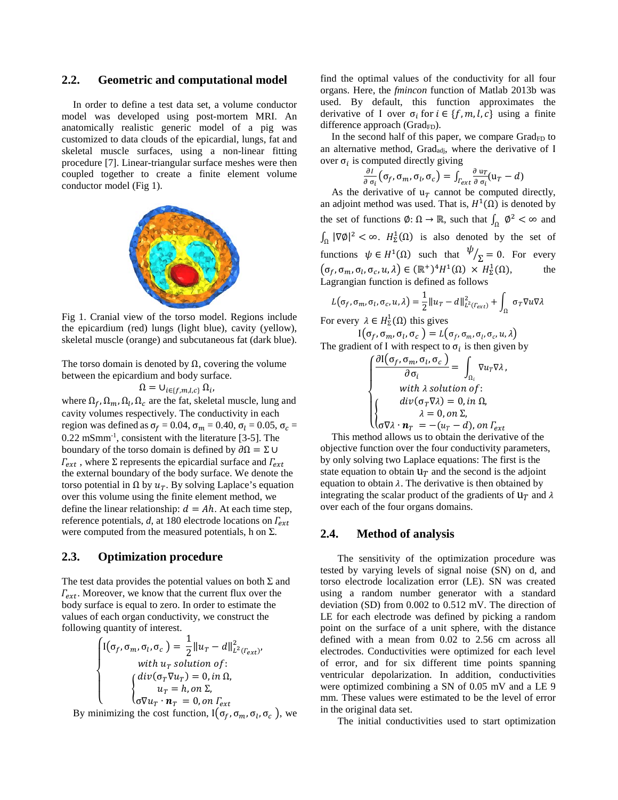## **2.2. Geometric and computational model**

In order to define a test data set, a volume conductor model was developed using post-mortem MRI. An anatomically realistic generic model of a pig was customized to data clouds of the epicardial, lungs, fat and skeletal muscle surfaces, using a non-linear fitting procedure [7]. Linear-triangular surface meshes were then coupled together to create a finite element volume conductor model (Fig 1).



Fig 1. Cranial view of the torso model. Regions include the epicardium (red) lungs (light blue), cavity (yellow), skeletal muscle (orange) and subcutaneous fat (dark blue).

The torso domain is denoted by  $\Omega$ , covering the volume between the epicardium and body surface.

$$
\Omega=\cup_{i\in\{f,m,l,c\}}\Omega_i,
$$

where  $\Omega_f$ ,  $\Omega_m$ ,  $\Omega_l$ ,  $\Omega_c$  are the fat, skeletal muscle, lung and cavity volumes respectively. The conductivity in each region was defined as  $\sigma_f = 0.04$ ,  $\sigma_m = 0.40$ ,  $\sigma_l = 0.05$ ,  $\sigma_c =$ 0.22 mSmm-1, consistent with the literature [3-5]. The boundary of the torso domain is defined by  $\partial \Omega = \Sigma$  ∪  $\Gamma_{ext}$ , where  $\Sigma$  represents the epicardial surface and  $\Gamma_{ext}$ the external boundary of the body surface. We denote the torso potential in Ω by  $u<sub>T</sub>$ . By solving Laplace's equation over this volume using the finite element method, we define the linear relationship:  $d = Ah$ . At each time step, reference potentials,  $d$ , at 180 electrode locations on  $\Gamma_{ext}$ were computed from the measured potentials, h on  $\Sigma$ .

### **2.3. Optimization procedure**

The test data provides the potential values on both  $\Sigma$  and  $T_{ext}$ . Moreover, we know that the current flux over the body surface is equal to zero. In order to estimate the values of each organ conductivity, we construct the following quantity of interest.

$$
\begin{cases}\nI(\sigma_f, \sigma_m, \sigma_l, \sigma_c) = \frac{1}{2} ||u_T - d||_{L^2(T_{ext})}^2, \\
with u_T \text{ solution of:} \\
\begin{cases}\ndiv(\sigma_T \nabla u_T) = 0, in \Omega, \\
u_T = h, on \Sigma, \\
\sigma \nabla u_T \cdot \mathbf{n}_T = 0, on \Gamma_{ext}\n\end{cases}\n\end{cases}
$$

By minimizing the cost function,  $I(\sigma_f, \sigma_m, \sigma_l, \sigma_c)$ , we

find the optimal values of the conductivity for all four organs. Here, the *fmincon* function of Matlab 2013b was used. By default, this function approximates the derivative of I over  $\sigma_i$  for  $i \in \{f, m, l, c\}$  using a finite difference approach ( $Grad_{FD}$ ).

In the second half of this paper, we compare  $Grad_{FD}$  to an alternative method,  $Grad_{\text{adj}}$ , where the derivative of I over  $\sigma_i$  is computed directly giving

$$
\frac{\partial I}{\partial \sigma_i}(\sigma_f, \sigma_m, \sigma_l, \sigma_c) = \int_{T_{ext}} \frac{\partial u_T}{\partial \sigma_i} (u_T - d)
$$

As the derivative of  $u_T$  cannot be computed directly, an adjoint method was used. That is,  $H^1(\Omega)$  is denoted by the set of functions  $\emptyset$ :  $\Omega \to \mathbb{R}$ , such that  $\int_{\Omega} \emptyset^2 < \infty$  and  $\int_{\Omega} |\nabla \emptyset|^2 < \infty$ .  $H^1_{\Sigma}(\Omega)$  is also denoted by the set of functions  $\psi \in H^1(\Omega)$  such that  $\psi / \Sigma = 0$ . For every  $(\sigma_f, \sigma_m, \sigma_l, \sigma_c, u, \lambda) \in (\mathbb{R}^+)^4 H^1(\Omega) \times H^1_{\Sigma}(\Omega)$ , the Lagrangian function is defined as follows

$$
L(\sigma_f, \sigma_m, \sigma_l, \sigma_c, u, \lambda) = \frac{1}{2} ||u_T - d||^2_{L^2(P_{ext})} + \int_{\Omega} \sigma_T \nabla u \nabla \lambda
$$

For every  $\lambda \in H^1_{\Sigma}(\Omega)$  this gives

 ${\rm I}\big(\sigma_f,\sigma_m,\sigma_l,\sigma_c\ \big)={\cal L}\big(\sigma_f,\sigma_m,\sigma_l,\sigma_c,u,\lambda\big)$ The gradient of I with respect to  $\sigma_i$  is then given by

$$
\begin{cases}\n\frac{\partial \mathcal{I}(\sigma_f, \sigma_m, \sigma_l, \sigma_c)}{\partial \sigma_i} = \int_{\Omega_i} \nabla u_T \nabla \lambda, \\
with \lambda solution of: \\
\begin{cases}\n\frac{div(\sigma_T \nabla \lambda) = 0, in \Omega, \\
\sigma \nabla \lambda \cdot \mathbf{n}_T = -(u_T - d), on \Gamma_{ext}\n\end{cases}\n\end{cases}
$$

This method allows us to obtain the derivative of the objective function over the four conductivity parameters, by only solving two Laplace equations: The first is the state equation to obtain  $u<sub>T</sub>$  and the second is the adjoint equation to obtain  $\lambda$ . The derivative is then obtained by integrating the scalar product of the gradients of  $u<sub>T</sub>$  and  $\lambda$ over each of the four organs domains.

#### **2.4. Method of analysis**

The sensitivity of the optimization procedure was tested by varying levels of signal noise (SN) on d, and torso electrode localization error (LE). SN was created using a random number generator with a standard deviation (SD) from 0.002 to 0.512 mV. The direction of LE for each electrode was defined by picking a random point on the surface of a unit sphere, with the distance defined with a mean from 0.02 to 2.56 cm across all electrodes. Conductivities were optimized for each level of error, and for six different time points spanning ventricular depolarization. In addition, conductivities were optimized combining a SN of 0.05 mV and a LE 9 mm. These values were estimated to be the level of error in the original data set.

The initial conductivities used to start optimization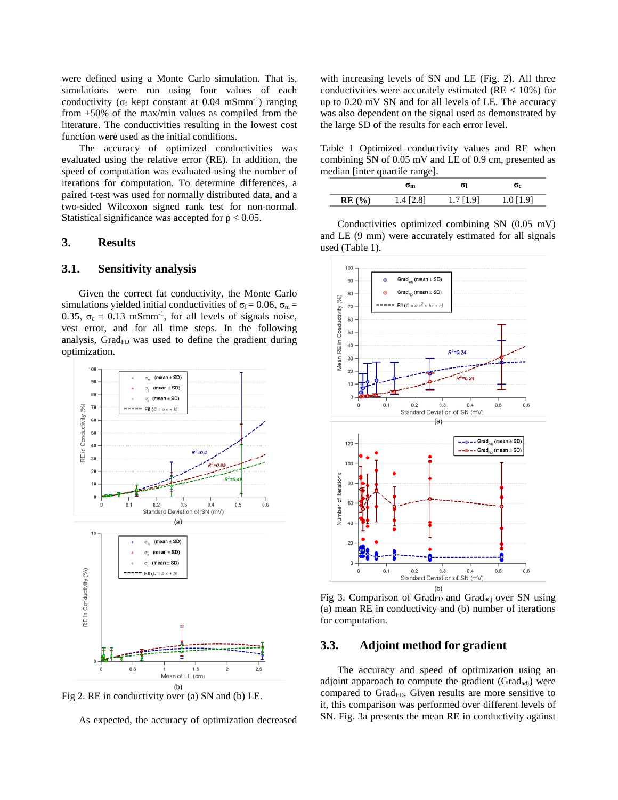were defined using a Monte Carlo simulation. That is, simulations were run using four values of each conductivity ( $\sigma_f$  kept constant at 0.04 mSmm<sup>-1</sup>) ranging from ±50% of the max/min values as compiled from the literature. The conductivities resulting in the lowest cost function were used as the initial conditions.

The accuracy of optimized conductivities was evaluated using the relative error (RE). In addition, the speed of computation was evaluated using the number of iterations for computation. To determine differences, a paired t-test was used for normally distributed data, and a two-sided [Wilcoxon signed rank test](http://fr.mathworks.com/help/stats/signrank.html#bti40ke-8) for non-normal. Statistical significance was accepted for  $p < 0.05$ .

## **3. Results**

#### **3.1. Sensitivity analysis**

Given the correct fat conductivity, the Monte Carlo simulations yielded initial conductivities of  $\sigma_l = 0.06$ ,  $\sigma_m =$ 0.35,  $\sigma_c = 0.13$  mSmm<sup>-1</sup>, for all levels of signals noise, vest error, and for all time steps. In the following analysis,  $Grad<sub>FD</sub>$  was used to define the gradient during optimization.



Fig 2. RE in conductivity over (a) SN and (b) LE.

As expected, the accuracy of optimization decreased

with increasing levels of SN and LE (Fig. 2). All three conductivities were accurately estimated ( $RE < 10\%$ ) for up to 0.20 mV SN and for all levels of LE. The accuracy was also dependent on the signal used as demonstrated by the large SD of the results for each error level.

Table 1 Optimized conductivity values and RE when combining SN of 0.05 mV and LE of 0.9 cm, presented as median [inter quartile range].

|          | Ծա        | σι        | $\sigma_{\rm c}$ |
|----------|-----------|-----------|------------------|
| $RE(\%)$ | 1.4 [2.8] | 1.7 [1.9] | $1.0$ [1.9]      |

Conductivities optimized combining SN (0.05 mV) and LE (9 mm) were accurately estimated for all signals used (Table 1).



Fig 3. Comparison of Grad<sub>FD</sub> and Grad<sub>adj</sub> over SN using (a) mean RE in conductivity and (b) number of iterations for computation.

#### **3.3. Adjoint method for gradient**

The accuracy and speed of optimization using an adjoint apparoach to compute the gradient  $(Grad_{\text{adj}})$  were compared to Grad<sub>FD</sub>. Given results are more sensitive to it, this comparison was performed over different levels of SN. Fig. 3a presents the mean RE in conductivity against